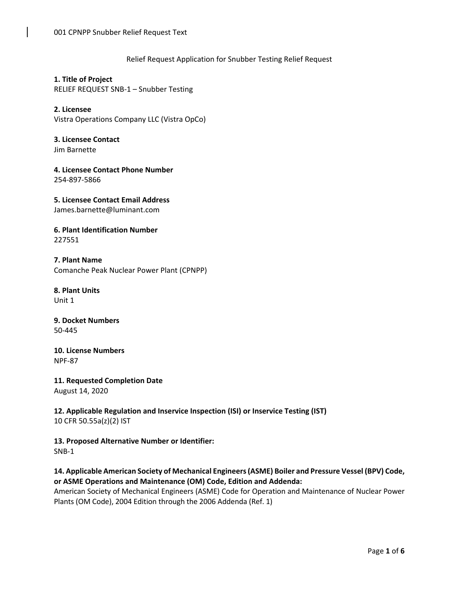### Relief Request Application for Snubber Testing Relief Request

**1. Title of Project**  RELIEF REQUEST SNB-1 – Snubber Testing

**2. Licensee**  Vistra Operations Company LLC (Vistra OpCo)

**3. Licensee Contact**  Jim Barnette

**4. Licensee Contact Phone Number**  254-897-5866

**5. Licensee Contact Email Address**  James.barnette@luminant.com

#### **6. Plant Identification Number**  227551

**7. Plant Name**  Comanche Peak Nuclear Power Plant (CPNPP)

**8. Plant Units**  Unit 1

**9. Docket Numbers**  50-445

**10. License Numbers**  NPF-87

**11. Requested Completion Date**  August 14, 2020

**12. Applicable Regulation and Inservice Inspection (ISI) or Inservice Testing (IST)**  10 CFR 50.55a(z)(2) IST

**13. Proposed Alternative Number or Identifier:**  SNB-1

# **14. Applicable American Society of Mechanical Engineers (ASME) Boiler and Pressure Vessel (BPV) Code, or ASME Operations and Maintenance (OM) Code, Edition and Addenda:**

American Society of Mechanical Engineers (ASME) Code for Operation and Maintenance of Nuclear Power Plants (OM Code), 2004 Edition through the 2006 Addenda (Ref. 1)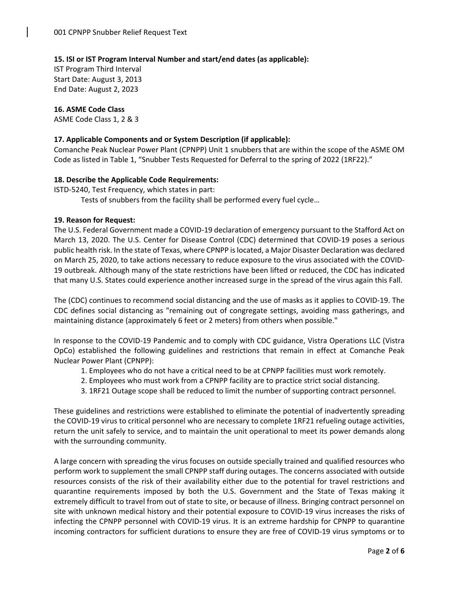# **15. ISI or IST Program Interval Number and start/end dates (as applicable):**

IST Program Third Interval Start Date: August 3, 2013 End Date: August 2, 2023

**16. ASME Code Class**  ASME Code Class 1, 2 & 3

#### **17. Applicable Components and or System Description (if applicable):**

Comanche Peak Nuclear Power Plant (CPNPP) Unit 1 snubbers that are within the scope of the ASME OM Code as listed in Table 1, "Snubber Tests Requested for Deferral to the spring of 2022 (1RF22)."

#### **18. Describe the Applicable Code Requirements:**

ISTD-5240, Test Frequency, which states in part: Tests of snubbers from the facility shall be performed every fuel cycle…

#### **19. Reason for Request:**

The U.S. Federal Government made a COVID-19 declaration of emergency pursuant to the Stafford Act on March 13, 2020. The U.S. Center for Disease Control (CDC) determined that COVID-19 poses a serious public health risk. In the state of Texas, where CPNPP is located, a Major Disaster Declaration was declared on March 25, 2020, to take actions necessary to reduce exposure to the virus associated with the COVID-19 outbreak. Although many of the state restrictions have been lifted or reduced, the CDC has indicated that many U.S. States could experience another increased surge in the spread of the virus again this Fall.

The (CDC) continues to recommend social distancing and the use of masks as it applies to COVID-19. The CDC defines social distancing as "remaining out of congregate settings, avoiding mass gatherings, and maintaining distance (approximately 6 feet or 2 meters) from others when possible."

In response to the COVID-19 Pandemic and to comply with CDC guidance, Vistra Operations LLC (Vistra OpCo) established the following guidelines and restrictions that remain in effect at Comanche Peak Nuclear Power Plant (CPNPP):

- 1. Employees who do not have a critical need to be at CPNPP facilities must work remotely.
- 2. Employees who must work from a CPNPP facility are to practice strict social distancing.
- 3. 1RF21 Outage scope shall be reduced to limit the number of supporting contract personnel.

These guidelines and restrictions were established to eliminate the potential of inadvertently spreading the COVID-19 virus to critical personnel who are necessary to complete 1RF21 refueling outage activities, return the unit safely to service, and to maintain the unit operational to meet its power demands along with the surrounding community.

A large concern with spreading the virus focuses on outside specially trained and qualified resources who perform work to supplement the small CPNPP staff during outages. The concerns associated with outside resources consists of the risk of their availability either due to the potential for travel restrictions and quarantine requirements imposed by both the U.S. Government and the State of Texas making it extremely difficult to travel from out of state to site, or because of illness. Bringing contract personnel on site with unknown medical history and their potential exposure to COVID-19 virus increases the risks of infecting the CPNPP personnel with COVID-19 virus. It is an extreme hardship for CPNPP to quarantine incoming contractors for sufficient durations to ensure they are free of COVID-19 virus symptoms or to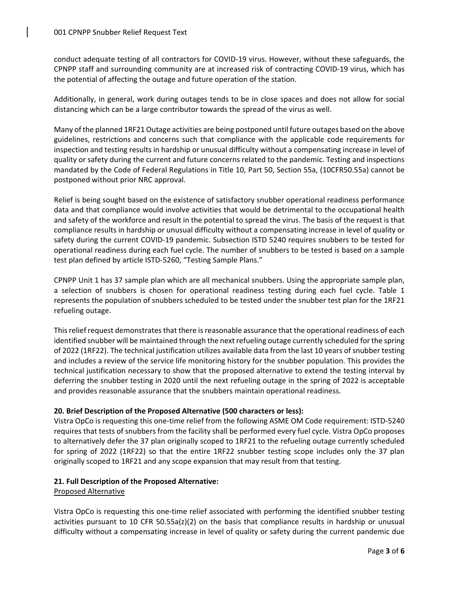conduct adequate testing of all contractors for COVID-19 virus. However, without these safeguards, the CPNPP staff and surrounding community are at increased risk of contracting COVID-19 virus, which has the potential of affecting the outage and future operation of the station.

Additionally, in general, work during outages tends to be in close spaces and does not allow for social distancing which can be a large contributor towards the spread of the virus as well.

Many of the planned 1RF21 Outage activities are being postponed until future outages based on the above guidelines, restrictions and concerns such that compliance with the applicable code requirements for inspection and testing results in hardship or unusual difficulty without a compensating increase in level of quality or safety during the current and future concerns related to the pandemic. Testing and inspections mandated by the Code of Federal Regulations in Title 10, Part 50, Section 55a, (10CFR50.55a) cannot be postponed without prior NRC approval.

Relief is being sought based on the existence of satisfactory snubber operational readiness performance data and that compliance would involve activities that would be detrimental to the occupational health and safety of the workforce and result in the potential to spread the virus. The basis of the request is that compliance results in hardship or unusual difficulty without a compensating increase in level of quality or safety during the current COVID-19 pandemic. Subsection ISTD 5240 requires snubbers to be tested for operational readiness during each fuel cycle. The number of snubbers to be tested is based on a sample test plan defined by article ISTD-5260, "Testing Sample Plans."

CPNPP Unit 1 has 37 sample plan which are all mechanical snubbers. Using the appropriate sample plan, a selection of snubbers is chosen for operational readiness testing during each fuel cycle. Table 1 represents the population of snubbers scheduled to be tested under the snubber test plan for the 1RF21 refueling outage.

This relief request demonstrates that there is reasonable assurance that the operational readiness of each identified snubber will be maintained through the next refueling outage currently scheduled for the spring of 2022 (1RF22). The technical justification utilizes available data from the last 10 years of snubber testing and includes a review of the service life monitoring history for the snubber population. This provides the technical justification necessary to show that the proposed alternative to extend the testing interval by deferring the snubber testing in 2020 until the next refueling outage in the spring of 2022 is acceptable and provides reasonable assurance that the snubbers maintain operational readiness.

# **20. Brief Description of the Proposed Alternative (500 characters or less):**

Vistra OpCo is requesting this one-time relief from the following ASME OM Code requirement: ISTD-5240 requires that tests of snubbers from the facility shall be performed every fuel cycle. Vistra OpCo proposes to alternatively defer the 37 plan originally scoped to 1RF21 to the refueling outage currently scheduled for spring of 2022 (1RF22) so that the entire 1RF22 snubber testing scope includes only the 37 plan originally scoped to 1RF21 and any scope expansion that may result from that testing.

# **21. Full Description of the Proposed Alternative:**

#### Proposed Alternative

Vistra OpCo is requesting this one-time relief associated with performing the identified snubber testing activities pursuant to 10 CFR 50.55a(z)(2) on the basis that compliance results in hardship or unusual difficulty without a compensating increase in level of quality or safety during the current pandemic due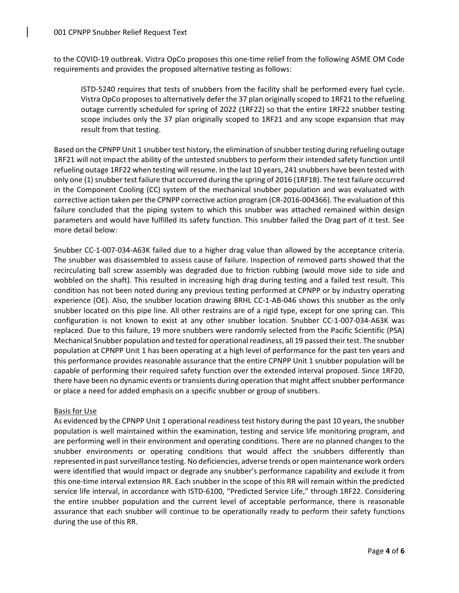to the COVID-19 outbreak. Vistra OpCo proposes this one-time relief from the following ASME OM Code requirements and provides the proposed alternative testing as follows:

ISTD-5240 requires that tests of snubbers from the facility shall be performed every fuel cycle. Vistra OpCo proposes to alternatively defer the 37 plan originally scoped to 1RF21 to the refueling outage currently scheduled for spring of 2022 (1RF22) so that the entire 1RF22 snubber testing scope includes only the 37 plan originally scoped to 1RF21 and any scope expansion that may result from that testing.

Based on the CPNPP Unit 1 snubber test history, the elimination of snubber testing during refueling outage 1RF21 will not impact the ability of the untested snubbers to perform their intended safety function until refueling outage 1RF22 when testing will resume. In the last 10 years, 241 snubbers have been tested with only one (1) snubber test failure that occurred during the spring of 2016 (1RF18). The test failure occurred in the Component Cooling (CC) system of the mechanical snubber population and was evaluated with corrective action taken per the CPNPP corrective action program (CR-2016-004366). The evaluation of this failure concluded that the piping system to which this snubber was attached remained within design parameters and would have fulfilled its safety function. This snubber failed the Drag part of it test. See more detail below:

Snubber CC-1-007-034-A63K failed due to a higher drag value than allowed by the acceptance criteria. The snubber was disassembled to assess cause of failure. Inspection of removed parts showed that the recirculating ball screw assembly was degraded due to friction rubbing (would move side to side and wobbled on the shaft). This resulted in increasing high drag during testing and a failed test result. This condition has not been noted during any previous testing performed at CPNPP or by industry operating experience (OE). Also, the snubber location drawing BRHL CC-1-AB-046 shows this snubber as the only snubber located on this pipe line. All other restrains are of a rigid type, except for one spring can. This configuration is not known to exist at any other snubber location. Snubber CC-1-007-034-A63K was replaced. Due to this failure, 19 more snubbers were randomly selected from the Pacific Scientific (PSA) Mechanical Snubber population and tested for operational readiness, all 19 passed their test. The snubber population at CPNPP Unit 1 has been operating at a high level of performance for the past ten years and this performance provides reasonable assurance that the entire CPNPP Unit 1 snubber population will be capable of performing their required safety function over the extended interval proposed. Since 1RF20, there have been no dynamic events or transients during operation that might affect snubber performance or place a need for added emphasis on a specific snubber or group of snubbers.

# Basis for Use

As evidenced by the CPNPP Unit 1 operational readiness test history during the past 10 years, the snubber population is well maintained within the examination, testing and service life monitoring program, and are performing well in their environment and operating conditions. There are no planned changes to the snubber environments or operating conditions that would affect the snubbers differently than represented in past surveillance testing. No deficiencies, adverse trends or open maintenance work orders were identified that would impact or degrade any snubber's performance capability and exclude it from this one-time interval extension RR. Each snubber in the scope of this RR will remain within the predicted service life interval, in accordance with ISTD-6100, "Predicted Service Life," through 1RF22. Considering the entire snubber population and the current level of acceptable performance, there is reasonable assurance that each snubber will continue to be operationally ready to perform their safety functions during the use of this RR.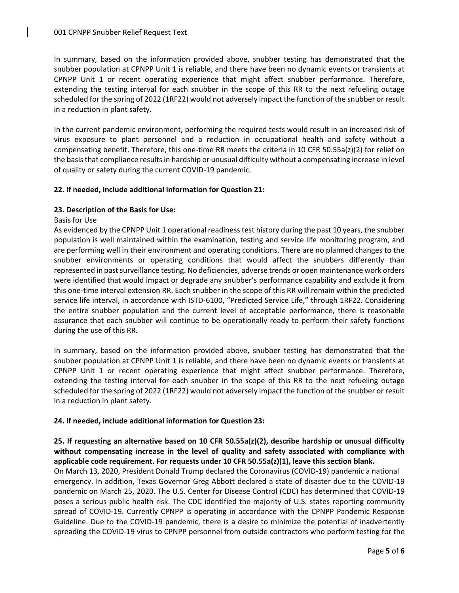In summary, based on the information provided above, snubber testing has demonstrated that the snubber population at CPNPP Unit 1 is reliable, and there have been no dynamic events or transients at CPNPP Unit 1 or recent operating experience that might affect snubber performance. Therefore, extending the testing interval for each snubber in the scope of this RR to the next refueling outage scheduled for the spring of 2022 (1RF22) would not adversely impact the function of the snubber or result in a reduction in plant safety.

In the current pandemic environment, performing the required tests would result in an increased risk of virus exposure to plant personnel and a reduction in occupational health and safety without a compensating benefit. Therefore, this one-time RR meets the criteria in 10 CFR 50.55a(z)(2) for relief on the basis that compliance results in hardship or unusual difficulty without a compensating increase in level of quality or safety during the current COVID-19 pandemic.

# **22. If needed, include additional information for Question 21:**

#### **23. Description of the Basis for Use:**

#### Basis for Use

As evidenced by the CPNPP Unit 1 operational readiness test history during the past 10 years, the snubber population is well maintained within the examination, testing and service life monitoring program, and are performing well in their environment and operating conditions. There are no planned changes to the snubber environments or operating conditions that would affect the snubbers differently than represented in past surveillance testing. No deficiencies, adverse trends or open maintenance work orders were identified that would impact or degrade any snubber's performance capability and exclude it from this one-time interval extension RR. Each snubber in the scope of this RR will remain within the predicted service life interval, in accordance with ISTD-6100, "Predicted Service Life," through 1RF22. Considering the entire snubber population and the current level of acceptable performance, there is reasonable assurance that each snubber will continue to be operationally ready to perform their safety functions during the use of this RR.

In summary, based on the information provided above, snubber testing has demonstrated that the snubber population at CPNPP Unit 1 is reliable, and there have been no dynamic events or transients at CPNPP Unit 1 or recent operating experience that might affect snubber performance. Therefore, extending the testing interval for each snubber in the scope of this RR to the next refueling outage scheduled for the spring of 2022 (1RF22) would not adversely impact the function of the snubber or result in a reduction in plant safety.

# **24. If needed, include additional information for Question 23:**

# **25. If requesting an alternative based on 10 CFR 50.55a(z)(2), describe hardship or unusual difficulty without compensating increase in the level of quality and safety associated with compliance with applicable code requirement. For requests under 10 CFR 50.55a(z)(1), leave this section blank.**

On March 13, 2020, President Donald Trump declared the Coronavirus (COVID-19) pandemic a national emergency. In addition, Texas Governor Greg Abbott declared a state of disaster due to the COVID-19 pandemic on March 25, 2020. The U.S. Center for Disease Control (CDC) has determined that COVID-19 poses a serious public health risk. The CDC identified the majority of U.S. states reporting community spread of COVID-19. Currently CPNPP is operating in accordance with the CPNPP Pandemic Response Guideline. Due to the COVID-19 pandemic, there is a desire to minimize the potential of inadvertently spreading the COVID-19 virus to CPNPP personnel from outside contractors who perform testing for the